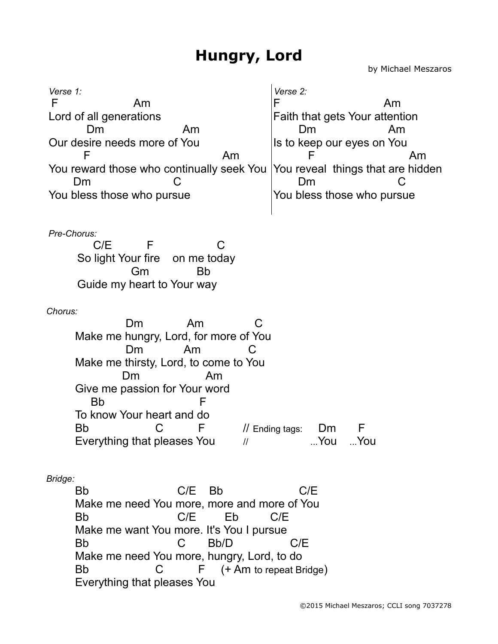by Michael Meszaros

*Verse 1:* F Am Lord of all generations Dm Am Our desire needs more of You F Am You reward those who continually seek You  $Dm$ You bless those who pursue *Verse 2:* F Am Faith that gets Your attention Dm Am Is to keep our eyes on You **F** Am You reveal things that are hidden Dm C You bless those who pursue *Pre-Chorus:* C/E F C So light Your fire on me today Gm Bb Guide my heart to Your way *Chorus:* Dm Am C Make me hungry, Lord, for more of You Dm Am C Make me thirsty, Lord, to come to You Dm Am Give me passion for Your word Bb F To know Your heart and do Bb C F // Ending tags: Dm F Everything that pleases You  $\frac{1}{2}$  // ...You ...You *Bridge:* Bb C/E Bb C/E Make me need You more, more and more of You Bb C/E Eb C/E Make me want You more. It's You I pursue Bb C Bb/D C/E Make me need You more, hungry, Lord, to do Bb C F (+ Am to repeat Bridge) Everything that pleases You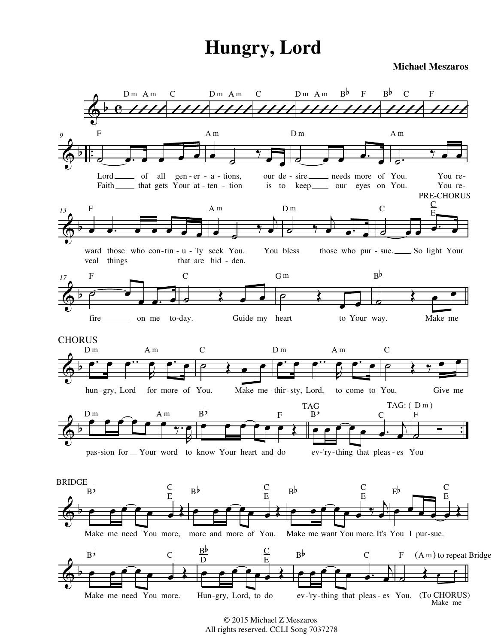**Michael Meszaros**



© 2015 Michael Z Meszaros All rights reserved. CCLI Song 7037278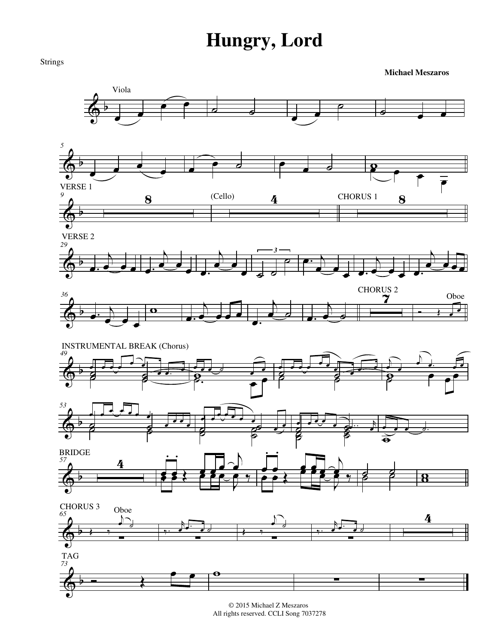

© 2015 Michael Z Meszaros All rights reserved. CCLI Song 7037278

Strings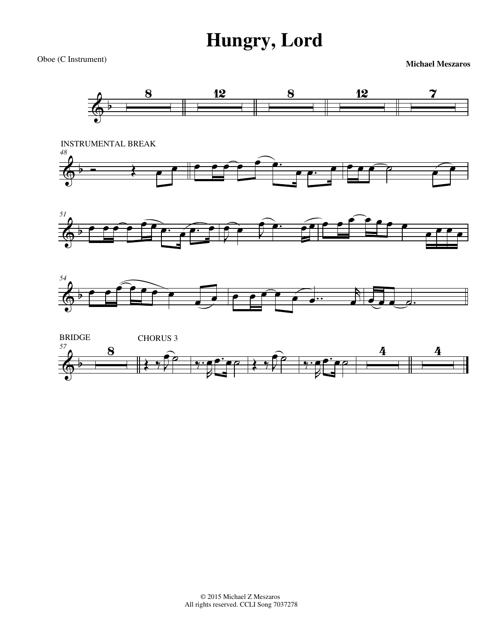Oboe (C Instrument) **Michael Meszaros**